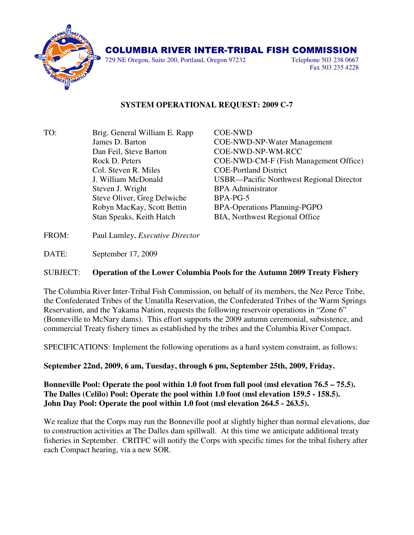

## COLUMBIA RIVER INTER-TRIBAL FISH COMMISSION

729 NE Oregon, Suite 200, Portland, Oregon 97232 Telephone 503 238 0667

Fax 503 235 4228

## **SYSTEM OPERATIONAL REQUEST: 2009 C-7**

TO: Brig. General William E. Rapp COE-NWD Dan Feil, Steve Barton COE-NWD-NP-WM-RCC Col. Steven R. Miles COE-Portland District Steven J. Wright BPA Administrator Steve Oliver, Greg Delwiche BPA-PG-5

 James D. Barton COE-NWD-NP-Water Management Rock D. Peters COE-NWD-CM-F (Fish Management Office) J. William McDonald USBR—Pacific Northwest Regional Director Robyn MacKay, Scott Bettin BPA-Operations Planning-PGPO Stan Speaks, Keith Hatch BIA, Northwest Regional Office

FROM: Paul Lumley, *Executive Director*

DATE: September 17, 2009

## SUBJECT: **Operation of the Lower Columbia Pools for the Autumn 2009 Treaty Fishery**

The Columbia River Inter-Tribal Fish Commission, on behalf of its members, the Nez Perce Tribe, the Confederated Tribes of the Umatilla Reservation, the Confederated Tribes of the Warm Springs Reservation, and the Yakama Nation, requests the following reservoir operations in "Zone 6" (Bonneville to McNary dams). This effort supports the 2009 autumn ceremonial, subsistence, and commercial Treaty fishery times as established by the tribes and the Columbia River Compact.

SPECIFICATIONS: Implement the following operations as a hard system constraint, as follows:

**September 22nd, 2009, 6 am, Tuesday, through 6 pm, September 25th, 2009, Friday.** 

**Bonneville Pool: Operate the pool within 1.0 foot from full pool (msl elevation 76.5 – 75.5). The Dalles (Celilo) Pool: Operate the pool within 1.0 foot (msl elevation 159.5 - 158.5). John Day Pool: Operate the pool within 1.0 foot (msl elevation 264.5 - 263.5).**

We realize that the Corps may run the Bonneville pool at slightly higher than normal elevations, due to construction activities at The Dalles dam spillwall. At this time we anticipate additional treaty fisheries in September. CRITFC will notify the Corps with specific times for the tribal fishery after each Compact hearing, via a new SOR.